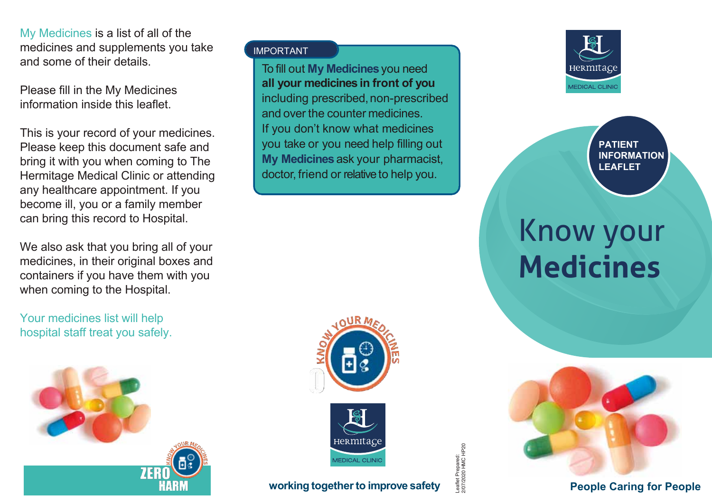My Medicines is a list of all of the medicines and supplements you take and some of their details.

Please fill in the My Medicines information inside this leaflet.

This is your record of your medicines. Please keep this document safe and bring it with you when coming to The Hermitage Medical Clinic or attending any healthcare appointment. If you become ill, you or a family member can bring this record to Hospital.

We also ask that you bring all of your medicines, in their original boxes and containers if you have them with you when coming to the Hospital.

Your medicines list will help hospital staff treat you safely.



## IMPORTANT

To fill out **My Medicines**you need **all your medicines in front of you** including prescribed, non-prescribed and over the counter medicines. If you don't know what medicines you take or you need help filling out **My Medicines** ask your pharmacist, doctor, friend or relative to help you.





## **w orking togetherto improve safety**





**PATIENT INFORMATION LEAFLET**

## Know your **Medicines**